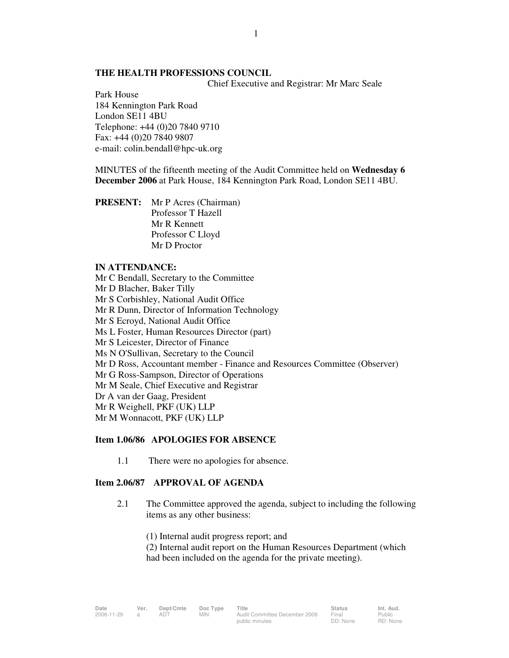# **THE HEALTH PROFESSIONS COUNCIL**

Chief Executive and Registrar: Mr Marc Seale

Park House 184 Kennington Park Road London SE11 4BU Telephone: +44 (0)20 7840 9710 Fax: +44 (0)20 7840 9807 e-mail: colin.bendall@hpc-uk.org

MINUTES of the fifteenth meeting of the Audit Committee held on **Wednesday 6 December 2006** at Park House, 184 Kennington Park Road, London SE11 4BU.

**PRESENT:** Mr P Acres (Chairman) Professor T Hazell Mr R Kennett Professor C Lloyd Mr D Proctor

#### **IN ATTENDANCE:**

Mr C Bendall, Secretary to the Committee Mr D Blacher, Baker Tilly Mr S Corbishley, National Audit Office Mr R Dunn, Director of Information Technology Mr S Ecroyd, National Audit Office Ms L Foster, Human Resources Director (part) Mr S Leicester, Director of Finance Ms N O'Sullivan, Secretary to the Council Mr D Ross, Accountant member - Finance and Resources Committee (Observer) Mr G Ross-Sampson, Director of Operations Mr M Seale, Chief Executive and Registrar Dr A van der Gaag, President Mr R Weighell, PKF (UK) LLP Mr M Wonnacott, PKF (UK) LLP

#### **Item 1.06/86 APOLOGIES FOR ABSENCE**

1.1 There were no apologies for absence.

#### **Item 2.06/87 APPROVAL OF AGENDA**

- 2.1 The Committee approved the agenda, subject to including the following items as any other business:
	- (1) Internal audit progress report; and

 (2) Internal audit report on the Human Resources Department (which had been included on the agenda for the private meeting).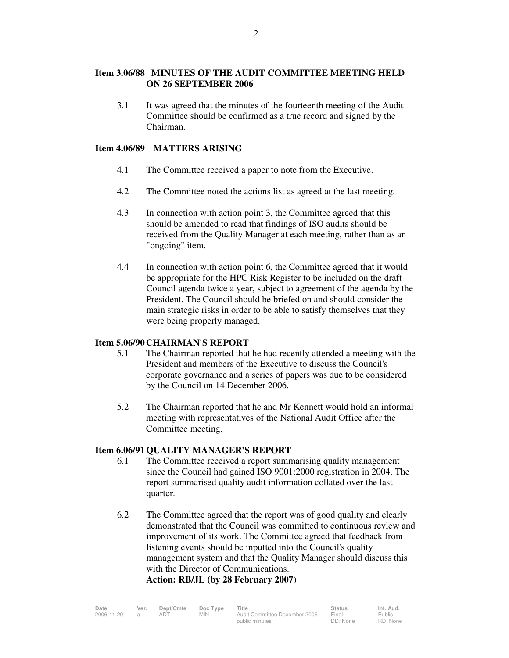3.1 It was agreed that the minutes of the fourteenth meeting of the Audit Committee should be confirmed as a true record and signed by the Chairman.

# **Item 4.06/89 MATTERS ARISING**

- 4.1 The Committee received a paper to note from the Executive.
- 4.2 The Committee noted the actions list as agreed at the last meeting.
- 4.3 In connection with action point 3, the Committee agreed that this should be amended to read that findings of ISO audits should be received from the Quality Manager at each meeting, rather than as an "ongoing" item.
- 4.4 In connection with action point 6, the Committee agreed that it would be appropriate for the HPC Risk Register to be included on the draft Council agenda twice a year, subject to agreement of the agenda by the President. The Council should be briefed on and should consider the main strategic risks in order to be able to satisfy themselves that they were being properly managed.

# **Item 5.06/90 CHAIRMAN'S REPORT**

- 5.1 The Chairman reported that he had recently attended a meeting with the President and members of the Executive to discuss the Council's corporate governance and a series of papers was due to be considered by the Council on 14 December 2006.
- 5.2 The Chairman reported that he and Mr Kennett would hold an informal meeting with representatives of the National Audit Office after the Committee meeting.

# **Item 6.06/91 QUALITY MANAGER'S REPORT**

- 6.1 The Committee received a report summarising quality management since the Council had gained ISO 9001:2000 registration in 2004. The report summarised quality audit information collated over the last quarter.
- 6.2 The Committee agreed that the report was of good quality and clearly demonstrated that the Council was committed to continuous review and improvement of its work. The Committee agreed that feedback from listening events should be inputted into the Council's quality management system and that the Quality Manager should discuss this with the Director of Communications. **Action: RB/JL (by 28 February 2007)**

Date Ver. Dept/Cmte Doc<sup>Type</sup> Title **Status Int. Aud.** 2006-11-29 a ADT MIN Audit Committee December 2006 public minutes Final DD: None Public RD: None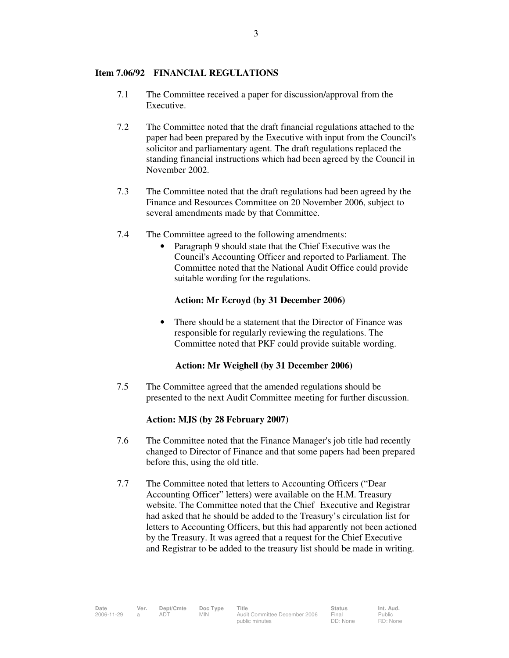#### **Item 7.06/92 FINANCIAL REGULATIONS**

- 7.1 The Committee received a paper for discussion/approval from the Executive.
- 7.2 The Committee noted that the draft financial regulations attached to the paper had been prepared by the Executive with input from the Council's solicitor and parliamentary agent. The draft regulations replaced the standing financial instructions which had been agreed by the Council in November 2002.
- 7.3 The Committee noted that the draft regulations had been agreed by the Finance and Resources Committee on 20 November 2006, subject to several amendments made by that Committee.
- 7.4 The Committee agreed to the following amendments:
	- Paragraph 9 should state that the Chief Executive was the Council's Accounting Officer and reported to Parliament. The Committee noted that the National Audit Office could provide suitable wording for the regulations.

#### **Action: Mr Ecroyd (by 31 December 2006)**

• There should be a statement that the Director of Finance was responsible for regularly reviewing the regulations. The Committee noted that PKF could provide suitable wording.

# **Action: Mr Weighell (by 31 December 2006)**

7.5 The Committee agreed that the amended regulations should be presented to the next Audit Committee meeting for further discussion.

# **Action: MJS (by 28 February 2007)**

- 7.6 The Committee noted that the Finance Manager's job title had recently changed to Director of Finance and that some papers had been prepared before this, using the old title.
- 7.7 The Committee noted that letters to Accounting Officers ("Dear Accounting Officer" letters) were available on the H.M. Treasury website. The Committee noted that the Chief Executive and Registrar had asked that he should be added to the Treasury's circulation list for letters to Accounting Officers, but this had apparently not been actioned by the Treasury. It was agreed that a request for the Chief Executive and Registrar to be added to the treasury list should be made in writing.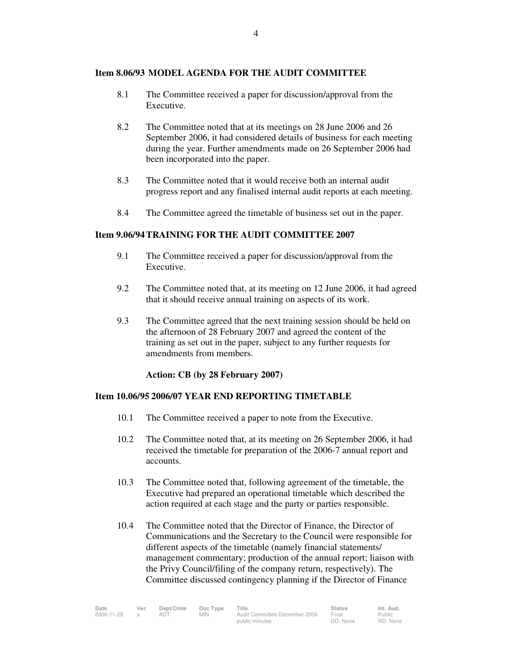# **Item 8.06/93 MODEL AGENDA FOR THE AUDIT COMMITTEE**

- 8.1 The Committee received a paper for discussion/approval from the Executive.
- 8.2 The Committee noted that at its meetings on 28 June 2006 and 26 September 2006, it had considered details of business for each meeting during the year. Further amendments made on 26 September 2006 had been incorporated into the paper.
- 8.3 The Committee noted that it would receive both an internal audit progress report and any finalised internal audit reports at each meeting.
- 8.4 The Committee agreed the timetable of business set out in the paper.

# **Item 9.06/94 TRAINING FOR THE AUDIT COMMITTEE 2007**

- 9.1 The Committee received a paper for discussion/approval from the Executive.
- 9.2 The Committee noted that, at its meeting on 12 June 2006, it had agreed that it should receive annual training on aspects of its work.
- 9.3 The Committee agreed that the next training session should be held on the afternoon of 28 February 2007 and agreed the content of the training as set out in the paper, subject to any further requests for amendments from members.

**Action: CB (by 28 February 2007)** 

#### **Item 10.06/95 2006/07 YEAR END REPORTING TIMETABLE**

- 10.1 The Committee received a paper to note from the Executive.
- 10.2 The Committee noted that, at its meeting on 26 September 2006, it had received the timetable for preparation of the 2006-7 annual report and accounts.
- 10.3 The Committee noted that, following agreement of the timetable, the Executive had prepared an operational timetable which described the action required at each stage and the party or parties responsible.
- 10.4 The Committee noted that the Director of Finance, the Director of Communications and the Secretary to the Council were responsible for different aspects of the timetable (namely financial statements/ management commentary; production of the annual report; liaison with the Privy Council/filing of the company return, respectively). The Committee discussed contingency planning if the Director of Finance

| Date       | Ver. | Dept/Cmte | Doc Type | Title                         | <b>Status</b> | Int. Aud.     |
|------------|------|-----------|----------|-------------------------------|---------------|---------------|
| 2006-11-29 |      |           | MIN.     | Audit Committee December 2006 | Final         | <b>Public</b> |
|            |      |           |          | public minutes                | DD: None      | RD: None      |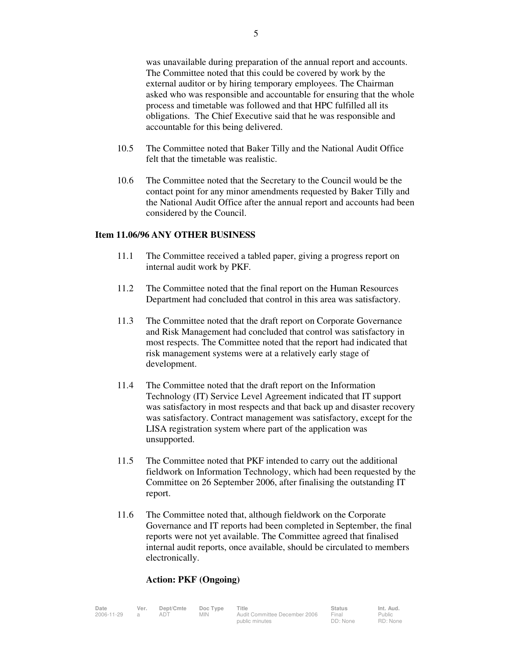was unavailable during preparation of the annual report and accounts. The Committee noted that this could be covered by work by the external auditor or by hiring temporary employees. The Chairman asked who was responsible and accountable for ensuring that the whole process and timetable was followed and that HPC fulfilled all its obligations. The Chief Executive said that he was responsible and accountable for this being delivered.

- 10.5 The Committee noted that Baker Tilly and the National Audit Office felt that the timetable was realistic.
- 10.6 The Committee noted that the Secretary to the Council would be the contact point for any minor amendments requested by Baker Tilly and the National Audit Office after the annual report and accounts had been considered by the Council.

#### **Item 11.06/96 ANY OTHER BUSINESS**

- 11.1 The Committee received a tabled paper, giving a progress report on internal audit work by PKF.
- 11.2 The Committee noted that the final report on the Human Resources Department had concluded that control in this area was satisfactory.
- 11.3 The Committee noted that the draft report on Corporate Governance and Risk Management had concluded that control was satisfactory in most respects. The Committee noted that the report had indicated that risk management systems were at a relatively early stage of development.
- 11.4 The Committee noted that the draft report on the Information Technology (IT) Service Level Agreement indicated that IT support was satisfactory in most respects and that back up and disaster recovery was satisfactory. Contract management was satisfactory, except for the LISA registration system where part of the application was unsupported.
- 11.5 The Committee noted that PKF intended to carry out the additional fieldwork on Information Technology, which had been requested by the Committee on 26 September 2006, after finalising the outstanding IT report.
- 11.6 The Committee noted that, although fieldwork on the Corporate Governance and IT reports had been completed in September, the final reports were not yet available. The Committee agreed that finalised internal audit reports, once available, should be circulated to members electronically.

# **Action: PKF (Ongoing)**

| Date       | Ver. | Dept/Cmte | Doc Type | Title                         | <b>Status</b> | Int. Aud. |
|------------|------|-----------|----------|-------------------------------|---------------|-----------|
| 2006-11-29 |      |           | MIN.     | Audit Committee December 2006 | Final         | Public    |
|            |      |           |          | public minutes                | DD: None      | RD: None  |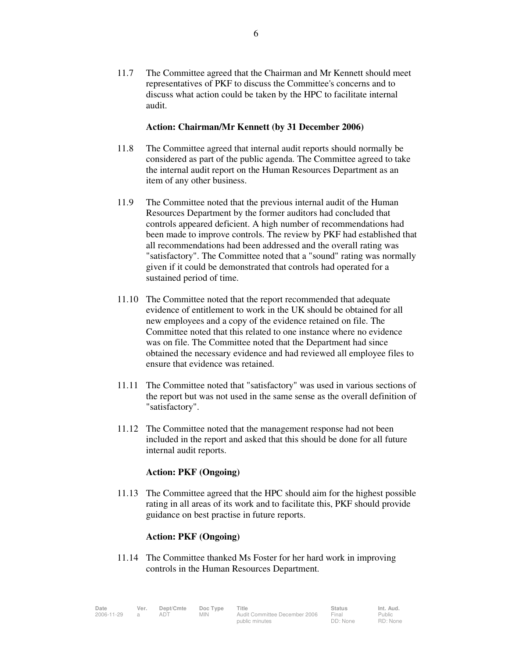11.7 The Committee agreed that the Chairman and Mr Kennett should meet representatives of PKF to discuss the Committee's concerns and to discuss what action could be taken by the HPC to facilitate internal audit.

#### **Action: Chairman/Mr Kennett (by 31 December 2006)**

- 11.8 The Committee agreed that internal audit reports should normally be considered as part of the public agenda. The Committee agreed to take the internal audit report on the Human Resources Department as an item of any other business.
- 11.9 The Committee noted that the previous internal audit of the Human Resources Department by the former auditors had concluded that controls appeared deficient. A high number of recommendations had been made to improve controls. The review by PKF had established that all recommendations had been addressed and the overall rating was "satisfactory". The Committee noted that a "sound" rating was normally given if it could be demonstrated that controls had operated for a sustained period of time.
- 11.10 The Committee noted that the report recommended that adequate evidence of entitlement to work in the UK should be obtained for all new employees and a copy of the evidence retained on file. The Committee noted that this related to one instance where no evidence was on file. The Committee noted that the Department had since obtained the necessary evidence and had reviewed all employee files to ensure that evidence was retained.
- 11.11 The Committee noted that "satisfactory" was used in various sections of the report but was not used in the same sense as the overall definition of "satisfactory".
- 11.12 The Committee noted that the management response had not been included in the report and asked that this should be done for all future internal audit reports.

# **Action: PKF (Ongoing)**

 11.13 The Committee agreed that the HPC should aim for the highest possible rating in all areas of its work and to facilitate this, PKF should provide guidance on best practise in future reports.

# **Action: PKF (Ongoing)**

11.14 The Committee thanked Ms Foster for her hard work in improving controls in the Human Resources Department.

| Date       | Ver. | Dept/Cmte | Doc Type | Title                         | <b>Status</b> | Int. Aud. |
|------------|------|-----------|----------|-------------------------------|---------------|-----------|
|            |      |           |          |                               |               |           |
| 2006-11-29 |      | adt       | MIN.     | Audit Committee December 2006 | Final         | Public    |
|            |      |           |          | public minutes                | DD: None      | RD: None  |